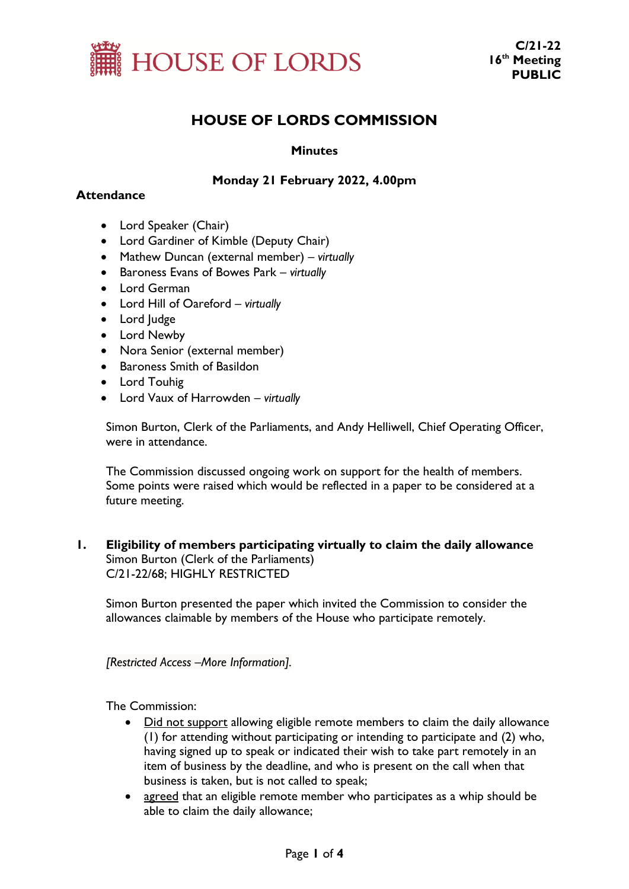

# **HOUSE OF LORDS COMMISSION**

## **Minutes**

## **Monday 21 February 2022, 4.00pm**

## **Attendance**

- Lord Speaker (Chair)
- Lord Gardiner of Kimble (Deputy Chair)
- Mathew Duncan (external member) *virtually*
- Baroness Evans of Bowes Park *virtually*
- Lord German
- Lord Hill of Oareford *virtually*
- Lord Judge
- Lord Newby
- Nora Senior (external member)
- Baroness Smith of Basildon
- Lord Touhig
- Lord Vaux of Harrowden *virtually*

Simon Burton, Clerk of the Parliaments, and Andy Helliwell, Chief Operating Officer, were in attendance.

The Commission discussed ongoing work on support for the health of members. Some points were raised which would be reflected in a paper to be considered at a future meeting.

**1. Eligibility of members participating virtually to claim the daily allowance** Simon Burton (Clerk of the Parliaments) C/21-22/68; HIGHLY RESTRICTED

Simon Burton presented the paper which invited the Commission to consider the allowances claimable by members of the House who participate remotely.

*[Restricted Access –More Information].*

The Commission:

- Did not support allowing eligible remote members to claim the daily allowance (1) for attending without participating or intending to participate and (2) who, having signed up to speak or indicated their wish to take part remotely in an item of business by the deadline, and who is present on the call when that business is taken, but is not called to speak;
- agreed that an eligible remote member who participates as a whip should be able to claim the daily allowance;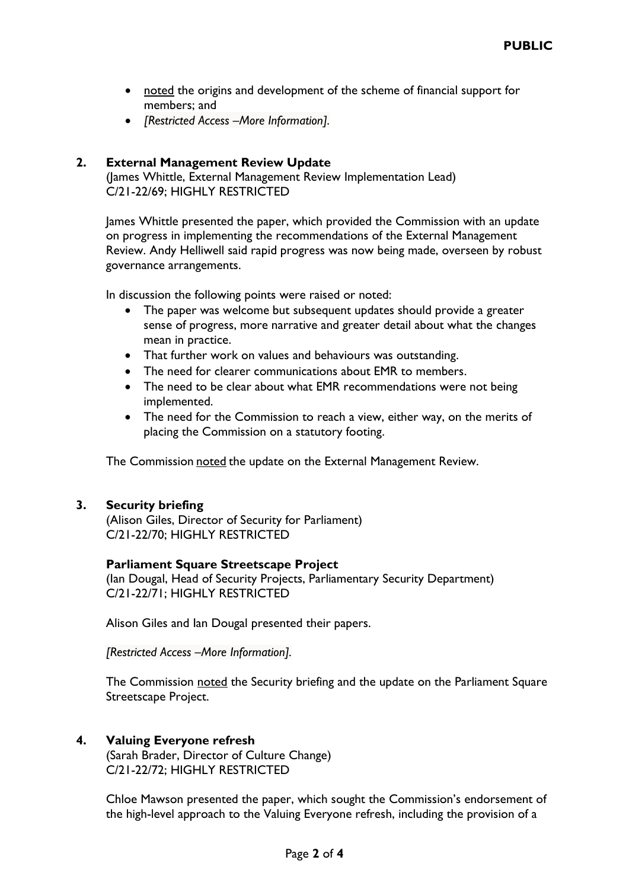- noted the origins and development of the scheme of financial support for members; and
- *[Restricted Access –More Information].*

#### **2. External Management Review Update**

(James Whittle, External Management Review Implementation Lead) C/21-22/69; HIGHLY RESTRICTED

James Whittle presented the paper, which provided the Commission with an update on progress in implementing the recommendations of the External Management Review. Andy Helliwell said rapid progress was now being made, overseen by robust governance arrangements.

In discussion the following points were raised or noted:

- The paper was welcome but subsequent updates should provide a greater sense of progress, more narrative and greater detail about what the changes mean in practice.
- That further work on values and behaviours was outstanding.
- The need for clearer communications about EMR to members.
- The need to be clear about what EMR recommendations were not being implemented.
- The need for the Commission to reach a view, either way, on the merits of placing the Commission on a statutory footing.

The Commission noted the update on the External Management Review.

#### **3. Security briefing**

(Alison Giles, Director of Security for Parliament) C/21-22/70; HIGHLY RESTRICTED

#### **Parliament Square Streetscape Project**

(Ian Dougal, Head of Security Projects, Parliamentary Security Department) C/21-22/71; HIGHLY RESTRICTED

Alison Giles and Ian Dougal presented their papers.

*[Restricted Access –More Information].*

The Commission noted the Security briefing and the update on the Parliament Square Streetscape Project.

#### **4. Valuing Everyone refresh**

(Sarah Brader, Director of Culture Change) C/21-22/72; HIGHLY RESTRICTED

Chloe Mawson presented the paper, which sought the Commission's endorsement of the high-level approach to the Valuing Everyone refresh, including the provision of a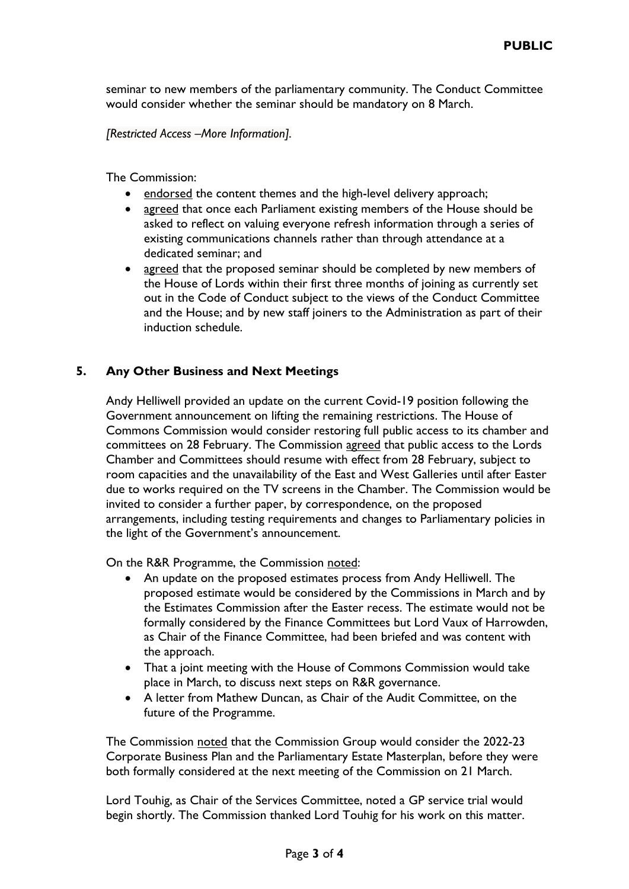seminar to new members of the parliamentary community. The Conduct Committee would consider whether the seminar should be mandatory on 8 March.

*[Restricted Access –More Information].*

The Commission:

- endorsed the content themes and the high-level delivery approach;
- agreed that once each Parliament existing members of the House should be asked to reflect on valuing everyone refresh information through a series of existing communications channels rather than through attendance at a dedicated seminar; and
- agreed that the proposed seminar should be completed by new members of the House of Lords within their first three months of joining as currently set out in the Code of Conduct subject to the views of the Conduct Committee and the House; and by new staff joiners to the Administration as part of their induction schedule.

#### **5. Any Other Business and Next Meetings**

Andy Helliwell provided an update on the current Covid-19 position following the Government announcement on lifting the remaining restrictions. The House of Commons Commission would consider restoring full public access to its chamber and committees on 28 February. The Commission agreed that public access to the Lords Chamber and Committees should resume with effect from 28 February, subject to room capacities and the unavailability of the East and West Galleries until after Easter due to works required on the TV screens in the Chamber. The Commission would be invited to consider a further paper, by correspondence, on the proposed arrangements, including testing requirements and changes to Parliamentary policies in the light of the Government's announcement.

On the R&R Programme, the Commission noted:

- An update on the proposed estimates process from Andy Helliwell. The proposed estimate would be considered by the Commissions in March and by the Estimates Commission after the Easter recess. The estimate would not be formally considered by the Finance Committees but Lord Vaux of Harrowden, as Chair of the Finance Committee, had been briefed and was content with the approach.
- That a joint meeting with the House of Commons Commission would take place in March, to discuss next steps on R&R governance.
- A letter from Mathew Duncan, as Chair of the Audit Committee, on the future of the Programme.

The Commission noted that the Commission Group would consider the 2022-23 Corporate Business Plan and the Parliamentary Estate Masterplan, before they were both formally considered at the next meeting of the Commission on 21 March.

Lord Touhig, as Chair of the Services Committee, noted a GP service trial would begin shortly. The Commission thanked Lord Touhig for his work on this matter.